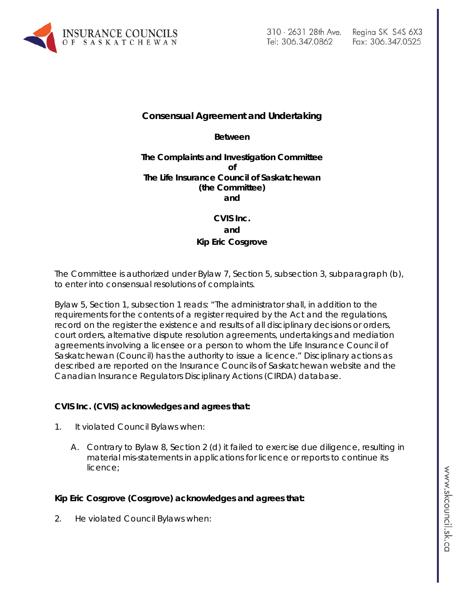

# Fax: 306.347.0525

#### **Consensual Agreement and Undertaking**

**Between**

#### **The Complaints and Investigation Committee of The Life Insurance Council of Saskatchewan (the Committee) and**

### **CVIS Inc. and Kip Eric Cosgrove**

The Committee is authorized under Bylaw 7, Section 5, subsection 3, subparagraph (b), to enter into consensual resolutions of complaints.

Bylaw 5, Section 1, subsection 1 reads: "The administrator shall, in addition to the requirements for the contents of a register required by the Act and the regulations, record on the register the existence and results of all disciplinary decisions or orders, court orders, alternative dispute resolution agreements, undertakings and mediation agreements involving a licensee or a person to whom the Life Insurance Council of Saskatchewan (Council) has the authority to issue a licence." Disciplinary actions as described are reported on the Insurance Councils of Saskatchewan website and the Canadian Insurance Regulators Disciplinary Actions (CIRDA) database.

#### **CVIS Inc. (CVIS) acknowledges and agrees that:**

- 1. It violated Council Bylaws when:
	- A. Contrary to Bylaw 8, Section 2 (d) it failed to exercise due diligence, resulting in material mis-statements in applications for licence or reports to continue its licence;

#### **Kip Eric Cosgrove (Cosgrove) acknowledges and agrees that:**

2. He violated Council Bylaws when: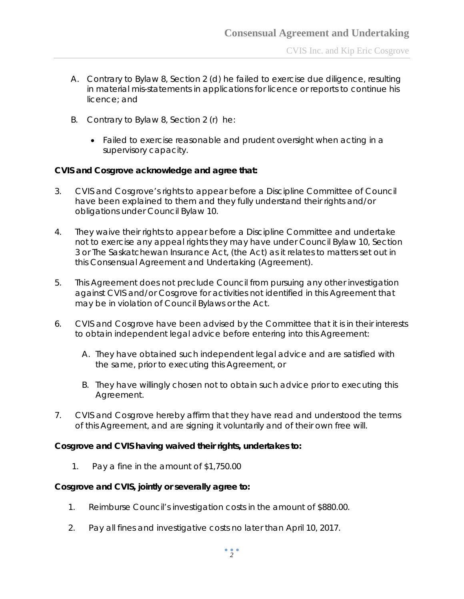- A. Contrary to Bylaw 8, Section 2 (d) he failed to exercise due diligence, resulting in material mis-statements in applications for licence or reports to continue his licence; and
- B. Contrary to Bylaw 8, Section 2 (r) he:
	- Failed to exercise reasonable and prudent oversight when acting in a supervisory capacity.

#### **CVIS and Cosgrove acknowledge and agree that:**

- 3. CVIS and Cosgrove's rights to appear before a Discipline Committee of Council have been explained to them and they fully understand their rights and/or obligations under Council Bylaw 10.
- 4. They waive their rights to appear before a Discipline Committee and undertake not to exercise any appeal rights they may have under Council Bylaw 10, Section 3 or *The Saskatchewan Insurance Act,* (the Act) as it relates to matters set out in this Consensual Agreement and Undertaking (Agreement).
- 5. This Agreement does not preclude Council from pursuing any other investigation against CVIS and/or Cosgrove for activities not identified in this Agreement that may be in violation of Council Bylaws or the Act.
- 6. CVIS and Cosgrove have been advised by the Committee that it is in their interests to obtain independent legal advice before entering into this Agreement:
	- A. They have obtained such independent legal advice and are satisfied with the same, prior to executing this Agreement, or
	- B. They have willingly chosen not to obtain such advice prior to executing this Agreement.
- 7. CVIS and Cosgrove hereby affirm that they have read and understood the terms of this Agreement, and are signing it voluntarily and of their own free will.

#### **Cosgrove and CVIS having waived their rights, undertakes to:**

1. Pay a fine in the amount of \$1,750.00

#### **Cosgrove and CVIS, jointly or severally agree to:**

- 1. Reimburse Council's investigation costs in the amount of \$880.00.
- 2. Pay all fines and investigative costs no later than April 10, 2017.